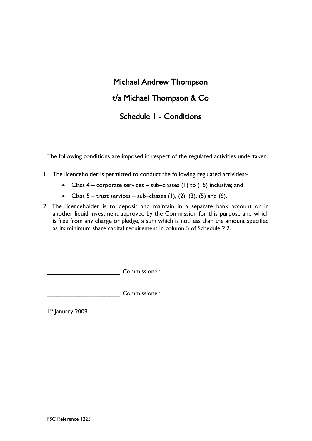# Michael Andrew Thompson t/a Michael Thompson & Co Schedule 1 - Conditions

The following conditions are imposed in respect of the regulated activities undertaken.

- 1. The licenceholder is permitted to conduct the following regulated activities:-
	- Class  $4$  corporate services sub–classes (1) to (15) inclusive; and
	- Class  $5 -$  trust services  $-$  sub-classes (1), (2), (3), (5) and (6).
- 2. The licenceholder is to deposit and maintain in a separate bank account or in another liquid investment approved by the Commission for this purpose and which is free from any charge or pledge, a sum which is not less than the amount specified as its minimum share capital requirement in column 5 of Schedule 2.2.

\_\_\_\_\_\_\_\_\_\_\_\_\_\_\_\_\_\_\_\_\_ Commissioner

\_\_\_\_\_\_\_\_\_\_\_\_\_\_\_\_\_\_\_\_\_ Commissioner

I<sup>st</sup> January 2009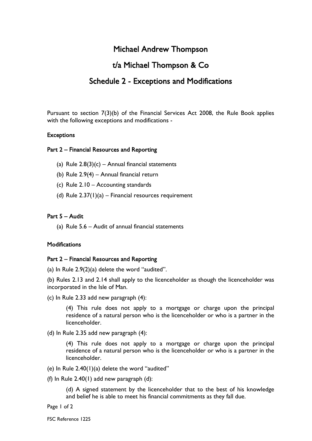## Michael Andrew Thompson

## t/a Michael Thompson & Co

## Schedule 2 - Exceptions and Modifications

Pursuant to section 7(3)(b) of the Financial Services Act 2008, the Rule Book applies with the following exceptions and modifications -

#### **Exceptions**

#### Part 2 – Financial Resources and Reporting

- (a) Rule  $2.8(3)(c)$  Annual financial statements
- (b) Rule 2.9(4) Annual financial return
- (c) Rule 2.10 Accounting standards
- (d) Rule  $2.37(1)(a)$  Financial resources requirement

#### Part 5 – Audit

(a) Rule 5.6 – Audit of annual financial statements

#### **Modifications**

#### Part 2 – Financial Resources and Reporting

(a) In Rule 2.9(2)(a) delete the word "audited".

(b) Rules 2.13 and 2.14 shall apply to the licenceholder as though the licenceholder was incorporated in the Isle of Man.

(c) In Rule 2.33 add new paragraph (4):

(4) This rule does not apply to a mortgage or charge upon the principal residence of a natural person who is the licenceholder or who is a partner in the licenceholder.

(d) In Rule 2.35 add new paragraph (4):

(4) This rule does not apply to a mortgage or charge upon the principal residence of a natural person who is the licenceholder or who is a partner in the licenceholder.

- (e) In Rule  $2.40(1)(a)$  delete the word "audited"
- (f) In Rule  $2.40(1)$  add new paragraph  $(d)$ :

(d) A signed statement by the licenceholder that to the best of his knowledge and belief he is able to meet his financial commitments as they fall due.

Page 1 of 2